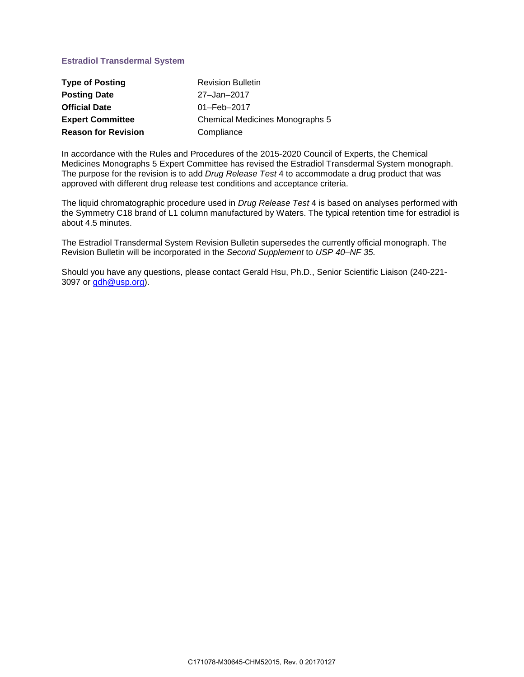# **Estradiol Transdermal System**

| <b>Type of Posting</b>     | <b>Revision Bulletin</b>        |
|----------------------------|---------------------------------|
| <b>Posting Date</b>        | 27-Jan-2017                     |
| <b>Official Date</b>       | 01-Feb-2017                     |
| <b>Expert Committee</b>    | Chemical Medicines Monographs 5 |
| <b>Reason for Revision</b> | Compliance                      |

In accordance with the Rules and Procedures of the 2015-2020 Council of Experts, the Chemical Medicines Monographs 5 Expert Committee has revised the Estradiol Transdermal System monograph. The purpose for the revision is to add *Drug Release Test* 4 to accommodate a drug product that was approved with different drug release test conditions and acceptance criteria.

The liquid chromatographic procedure used in *Drug Release Test* 4 is based on analyses performed with the Symmetry C18 brand of L1 column manufactured by Waters. The typical retention time for estradiol is about 4.5 minutes.

The Estradiol Transdermal System Revision Bulletin supersedes the currently official monograph. The Revision Bulletin will be incorporated in the *Second Supplement* to *USP 40–NF 35.*

Should you have any questions, please contact Gerald Hsu, Ph.D., Senior Scientific Liaison (240-221- 3097 or [gdh@usp.org\)](mailto:gdh@usp.org).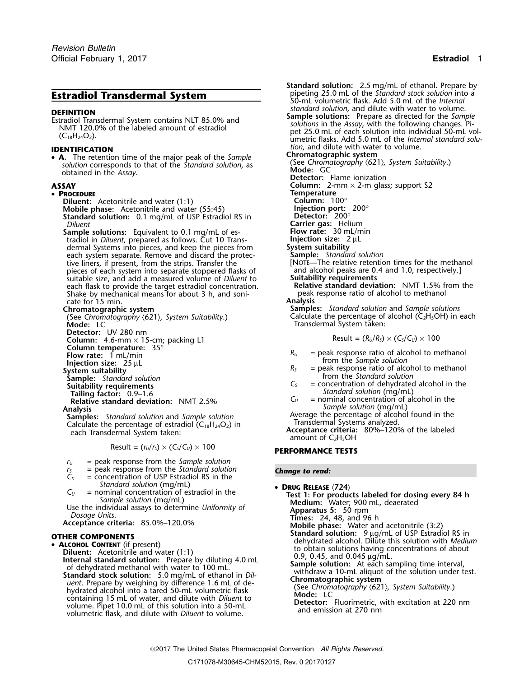• **<sup>A</sup>.** The retention time of the major peak of the *Sample* **Chromatographic system Example 3** interesponds to the major peak of the *Sumple*<br>
solution corresponds to that of the *Standard solution*, as **a mode:** GC<br> **Mode:** GC obtained in the *Assay*.

### • PROCEDURE

**Diluent:** Acetonitrile and water (1:1) **Column: 100°**<br> **Mobile phase:** Acetonitrile and water (55:45) **Column: 100°**<br> **Standard solution:** 0.1 mg/mL of USP Estradiol RS in **Callent in Detector:** 200° **Mobile phase:** Acetonitrile and water (55:45) **Standard solution:** 0.1 mg/mL of USP Estradiol RS in *Diluent* 

**Sample solutions:** Equivalent to 0.1 mg/mL of es- **Flow rate:** 30 mL/n **tradiol in** *Diluent*. prepared as follows. Cut 10 Trans- **Flow rate:** 2 uL tradiol in *Diluent*, prepared as follows. Cut 10 Trans- **Injection size:** 2<br>dermal Systems into pieces, and keep the pieces from **System suitability** dermal Systems into pieces, and keep the pieces from **System suitability** each system separate. Remove and discard the protec- **Sample:** *Standard solution* tive liners, if present, from the strips. Transfer the [NOTE—The relative retention times for the methanol pieces of each system into separate stoppered flasks of and alcohol peaks are 0.4 and 1.0, respectively.] pieces of each system into separate stoppered flasks of and alcohol peaks are 0.<br>4 suitable size, and add a measured volume of *Diluent* to **Suitability requirements** suitable size, and add a measured volume of *Diluent* to **Suitability requirements** each flask to provide the target estradiol concentration. **Relative standard deviation:** NMT 1.5% from the Shake by mechanical means for about 3 h, and soni-Shake by mechanical means for about 3 h, and soni-<br>cate for 15 min. **Analysis** cate for 15 min.<br>**Chromatographic system** 

**Mode:** LC Transdermal System taken: **Detector:** UV 280 nm **Column:** 4.6-mm × 15-cm; packing L1 Result =  $(R_U/R_S) \times (C_S/C_U) \times 100$ <br> **Column temperature:** 35°<br> **Flow rate:** 1 mL/min <br> **Column temperature:** 35° **Column temperature:** 35°<br> **Flow rate:** 1 mL/min<br> **Injection size:** 25 µL<br> **System suitability**<br>
System suitability<br>
System suitability<br>
cutability requirements<br>
Suitability requirements<br>
Suitability requirements<br>
Tailing

**Samples:** Standard solution and Sample solution<br>Calculate the percentage of estradiol (C<sub>3</sub>H<sub>34</sub>O<sub>3</sub>) in **Transdermal Systems analyzed.** 

 $Result = (r<sub>U</sub>/r<sub>S</sub>) \times (C<sub>S</sub>/C<sub>U</sub>) \times 100$  **PERFORMANCE TESTS** 

- 
- $r_U$  = peak response from the *Sample solution*<br> $r_S$  = peak response from the *Standard solution r*<sub>S</sub> = peak response from the *Standard solution* **Change to read:**  $C_5$  = concentration of USP Estradiol RS in the
- *Standard solution* (mg/mL)  **DRUG RELEASE** (724)  **DRUG RELEASE** (724)  **CONTABLEM For product**
- 

*uent*. Prepare by weighing by difference 1.6 mL of de- **Chromatographic system** (See *Chromatography* 〈621〉*, System Suitability*.) hydrated alcohol into a tared 50-mL volumetric flask **Mode:** LC containing 15 mL of water, and dilute with *Diluent* to volume. Pipet 10.0 mL of water, and dilute with *Diluent* to<br>volume. Pipet 10.0 mL of this solution into a 50-mL<br>volumetric flask, and dilute with *Diluent* to volume<br>and emission at 270 nm volumetric flask, and dilute with *Diluent* to volume.

**Standard solution:** 2.5 mg/mL of ethanol. Prepare by pipeting 25.0 mL of the *Standard stock solution* into a **Estradiol Transdermal System**<br> **Estradiol Transdermal System**<br> **EFINITION**<br> **EFINITION**<br> **EFINITION**<br> **EFINITION**<br> **EFINITION**<br> **EFINITION**<br> **EFINITION**<br> **EFINITION**<br> **EFINITION**<br> **EFINITION**<br> **EFINITION**<br> **Sample solutio DEFINITION**<br>
Estradiol Transdermal System contains NLT 85.0% and<br>
MMT 120.0% of the labeled amount of estradiol<br>
(C<sub>18</sub>H<sub>24</sub>O<sub>2</sub>).<br>
C<sub>18</sub>H<sub>24</sub>O<sub>2</sub>).<br>
C<sub>18</sub>H<sub>24</sub>O<sub>2</sub>).<br>
C<sub>18</sub>H<sub>24</sub>O<sub>2</sub>). **IDENTIFICATION** *tion*, and dilute with water to volume.<br> **A** The retention time of the major peak of the *Sample* **Chromatographic system Detector:** Flame ionization **ASSAY Column:** 2-mm × 2-m glass; support S2 **PR**<br>**PColumn:** 100° **Carrier gas: Helium<br><b>Flow rate:** 30 mL/min **Chromatographic system Samples:** *Standard solution* and *Sample solutions* (See *Chromatography* 〈621〉*, System Suitability*.) Calculate the percentage of alcohol (C2H5OH) in each

- 
- 
- **Relative standard deviation:** NMT 2.5%<br>Analysis<br>**Analysis** *Sample solution* (mg/mL)<br>Samples: Standard solution and Sample solution **Average the percentage of alcohol found in the**

Calculate the percentage of estradiol  $(C_{18}H_{24}O_2)$  in **Acceptance criteria:** 80%–120% of the labeled each Transdermal System taken: **amount of C<sub>2</sub>H<sub>5</sub>OH**<br>amount of C<sub>2</sub>H<sub>5</sub>OH

 $C_U$  = nominal concentration of estradiol in the<br>
Sample solution (mg/mL)<br>
Use the individual assays to determine Uniformity of<br>
Dosage Units.<br>
Acceptance criteria: 85.0%-120.0%<br>
HER COMPONENTS<br>
HER COMPONENTS<br>
HER COMPON **Standard Solution:** 9 µg/mL of USP Estradiol RS in<br>• **ALCOHOL CONTENT** (if present) dehydrated alcohol. Dilute this solution with *Medium*<br>• **Contenting and water (1.1)** to obtain solutions having concentrations of about Diluent: Acetonitrile and water (1:1)<br>
Internal standard solution: Prepare by diluting 4.0 mL<br>
of dehydrated methanol with water to 100 mL.<br>
Standard stock solution: 5.0 mg/mL of ethanol in Dil-<br>
Standard stock solution: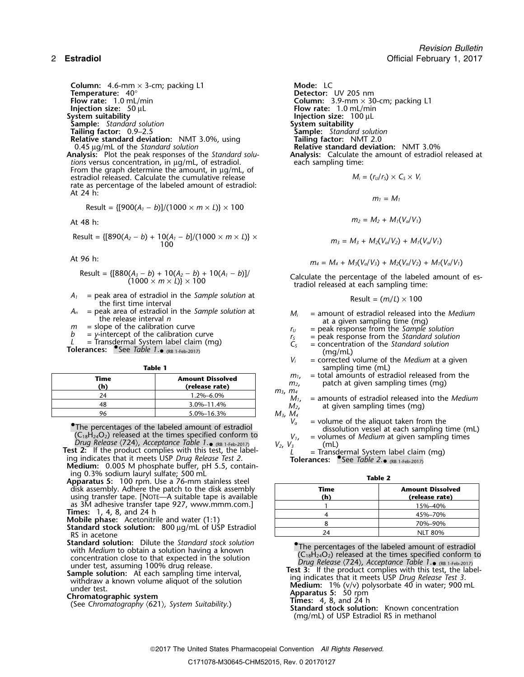**Column:** 4.6-mm × 3-cm; packing L1 **Mode:** LC<br> **Temperature:** 40° **Temperature:** 40° **CONFING 2018 Detector:** UV 205 nm<br>**Flow rate:** 1.0 mL/min **COLUMIC 2019 COLUMIC 2.9 COLUMIC 3.9** mm  $\times$  30 **Flow rate:** 1.0 mL/min **Column:** 3.9-mm × 30-cm; packing L1 **Injection size:** 50 µL<br>**Injection size:** 50 µL **Injection size:** 50 µL **Flow rate:** 1.0 mL/min **System suitability Injection size:** 100 µL **Sample:** *Standard solution*<br> **System suitability**<br> **Sample:** *Standar* **Relative standard deviation:** NMT 3.0%, using 0.45 µg/mL of the *Standard solution* 

**Analysis:** Plot the peak responses of the *Standard solu*-<br>*tions* versus concentration, in ug/mL, of estradiol. each sampling time: *tions* versus concentration, in  $\mu$ g/mL, of estradiol. From the graph determine the amount, in  $\mu$ g/mL, of estradiol released. Calculate the cumulative release  $M_i = (r_u/r_s) \times C_s \times V_i$ rate as percentage of the labeled amount of estradiol: At 24 h:

Result = 
$$
{[900(A_1 - b)]/(1000 \times m \times L)} \times 100
$$

Result = {[890(A<sub>2</sub> - b) + 10(A<sub>1</sub> - b]/(1000 × m × L)} × <br>100 m<sub>3</sub> = M<sub>3</sub> + M<sub>2</sub>(V<sub>a</sub>/V<sub>2</sub>) + M<sub>1</sub>(V<sub>a</sub>/V<sub>1</sub>)

Result = 
$$
\{[880(A_3 - b) + 10(A_2 - b) + 10(A_1 - b)] / (1000 \times m \times L)\} \times 100
$$

- $A_1$  = peak area of estradiol in the *Sample solution* at the first time interval
- 
- 
- 
- 

|             | Table 1                                   |                          | sampling time (mL)                              |
|-------------|-------------------------------------------|--------------------------|-------------------------------------------------|
| Time<br>(h) | <b>Amount Dissolved</b><br>(release rate) | $m1$ .<br>m <sub>2</sub> | = total amounts of estra<br>patch at given samp |
| 2Δ          | 1.2%–6.0%                                 | $m_3$ , $m_4$<br>$M_{1}$ | $=$ amounts of estradiol $\mathbf r$            |
| 48          | 3.0%-11.4%                                | $M_{2}$                  | at given sampling tir                           |
| 96          | 5.0%-16.3%                                | $M_3, M_4$               |                                                 |

The percentages of the labeled amount of estradiol<br>The percentages of the labeled amount of estradiol<br>dissolution vessel at each sampling time (mL) The percentages of the labeled amount of estradiol<br>(C<sub>18</sub>H<sub>24</sub>O<sub>2</sub>) released at the times specified conform to  $V_1$ ,  $V_2$  volumes of *Medium* at given sampling times<br>Drug Release (724), Acceptance Table 1. (RB 1-Feb-201  $(C_{18}H_{24}O_2)$  released at the times specified contorm to  $V_1$ , = volume Drug Release  $\langle 724 \rangle$ , Acceptance Table 1.  $\bullet$  (RB 1-Feb-2017)  $V_2$ ,  $V_3$  (mL) Test 2: If the product complies with this test, the label  $L$ 

Medium: 0.005 M phosphate buffer, pH 5.5, contain-

- ing 0.3% sodium lauryl sulfate; 500 mL **Table 2 Apparatus 5:** 100 rpm. Use a 76-mm stainless steel disk assembly. Adhere the patch to the disk assembly using transfer tape. [NOTE—A suitable tape is available **(h) (release rate)** as 3M adhesive transfer tape 927, www.mmm.com.]<br>**Times:** 1, 4, 8, and 24 h
- 
- **These:** Acetonitrile and water (1:1)<br>**Standard stock solution:** 800 µg/mL of USP Estradiol RS in acetone  $\overline{24}$  NLT 80%
- **Standard solution:** Dilute the *Standard stock solution* •**Concert in the Summan Superior Concert Concert Concert Concert in the Superior Concert Concert Concert Concert<br>
Concert Concert Concert Concert Concert Concert Concert Concert Concert Concert Concert Concert Concert Conc**
- 

**Tailing factor:** 0.9–2.5 **Sample:** *Standard solution* Relative standard deviation: NMT 3.0%<br>Analysis: Calculate the amount of estradiol released at

 $m_1 = M_1$ 

At 48 h: 
$$
m_2 = M_2 + M_1(V_a/V_1)
$$

$$
m_3 = M_3 + M_2(V_a/V_2) + M_1(V_a/V_1)
$$

At 96 h:  $m_4 = M_4 + M_3(V_a/V_3) + M_2(V_a/V_2) + M_1(V_a/V_1)$ 

Calculate the percentage of the labeled amount of es-<br>tradiol released at each sampling time:

$$
Result = (m_i/L) \times 100
$$

- *A<sub>n</sub>* = peak area of estradiol in the *Sample solution* at the release interval *n*<br> *m* = slope of the calibration curve <br> *b* = y-intercept of the calibration curve <br> *L* = Transdermal System label claim (mg)  $r_y$  = pe
	-
	-

- $V_i$  = corrected volume of the *Medium* at a given
- $m_1$ , = total amounts of estradiol released from the  $m_2$ , patch at given sampling times (mg)
- 
- $m_2$ ,  $m_4$ <br> $M_1$ , = amounts of estradiol released into the *Medium*<br> $M_2$ , at given sampling times (mg) at given sampling times (mg)  $M_3, M_4, N_4, N_5, N_6$ 
	-
	-

 $\mu$  = Transdermal System label claim (mg)<br>Tolerances: See Table 2. (RB 1-Feb-2017)

| Time<br>(h) | <b>Amount Dissolved</b><br>(release rate) |
|-------------|-------------------------------------------|
|             | 15%-40%                                   |
|             | 45%-70%                                   |
|             | 70%-90%                                   |
| 24          | <b>NLT 80%</b>                            |

concentration close to that expected in the solution<br>
under test, assuming 100% drug release.<br> **Sample solution:** At each sampling time interval,<br>
withdraw a known volume aliquot of the solution<br>
under test.<br> **Chromatograp** 

(mg/mL) of USP Estradiol RS in methanol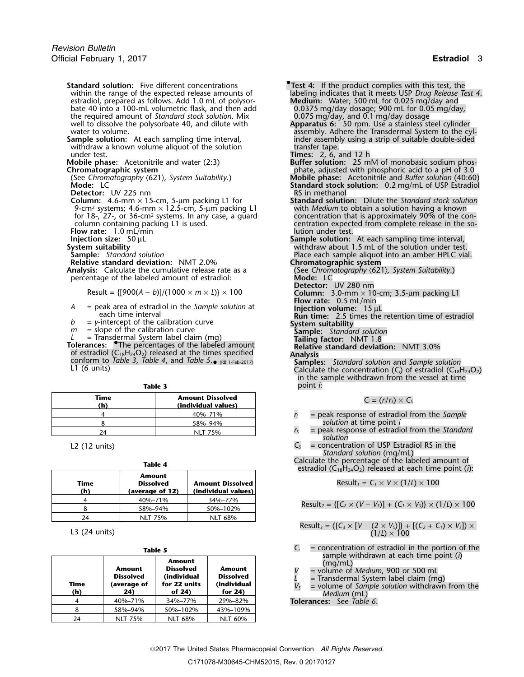- **Standard solution:** Five different concentrations **• •. •. •. •. •. •. • 1***.* **•1***.* **•1***.* **•1***.* **•1***.* **•1***.* **•1***.* **•1***.* **•1***.* **•1***.* estradiol, prepared as follows. Add 1.0 mL of polysorbate 40 into a 100-mL volumetric flask, and then add the required amount of *Standard stock solution*. Mix well to dissolve the polysorbate 40, and dilute with well to dissolve the polysorbate 40, and dilute with the polysorbate 40, and dilute with the required amount of *Standard stock solution*. Mix  $0.0375 \text{ mg/day}$ , and 0.1 mg/day dosage well to dissolve the polysorbate 40, and
- withdraw a known volume aliquot of the solution under test. under test. **Times:** 2, 6, and 12 h
- 
- 

**Detector:** UV 225 nm

- **Column:** 4.6-mm × 15-cm, 5-µm packing L1 for **Standard solution:** Dilute the *Standard stock solution* 9-cm<sup>2</sup>. systems; 4.6-mm × 12.5-cm, 5-µm packing L1 with *Medium* to obtain a solution having a known for 18-, 27-, or 36-cm<sup>2</sup> systems. In any case, a guard concentration that is approximately 90% of the con-<br>column containing packing L1 is used.<br>centration expected from complete release in the so-
- **Flow rate:** 1.0 mL/min **Injection size:** 50 µL

- 
- 

**Analysis:** Calculate the cumulative release rate as a (See *Chromatography concernation* of estradiol:  $\overline{\phantom{a}}$  **Mode:** LC percentage of the labeled amount of estradiol:

Result = 
$$
{[900(A - b)]/(1000 \times m \times L)} \times 100
$$

- **Flow rate:** 0.5 mL/min *<sup>A</sup>* = peak area of estradiol in the *Sample solution* at **Injection volume:**<sup>15</sup> <sup>µ</sup><sup>L</sup>
- *b* = *y*-intercept of the calibration curve **System suitability**<br> *m* = slope of the calibration curve **System Sample:** Standard solution
- 
- = slope of the calibration curve<br>
= Transdermal System label claim (mg)<br>
Tailing factor: NMT 1.8
- L = Transdermal System label claim (mg)<br>**Tolerances:** The percentages of the labeled amount **Relative standard deviation:** NMT 3.0% of estradiol (C18H24O2) released at the times specified **Analysis** conform to *Table 3*, *Table 4*, and *Table 5*. •

|  | I |  |  |  |
|--|---|--|--|--|
|--|---|--|--|--|

| Time<br>(h) | <b>Amount Dissolved</b><br>(individual values) |
|-------------|------------------------------------------------|
|             | 40%-71%                                        |
|             | 58%-94%                                        |
| 24          | NLT 75%                                        |

|             | Table 4                                              |                                                | estradiol ( $C_{18}H_{24}O_2$ ) released at each time point (i):                    |
|-------------|------------------------------------------------------|------------------------------------------------|-------------------------------------------------------------------------------------|
| Time<br>(h) | <b>Amount</b><br><b>Dissolved</b><br>(average of 12) | <b>Amount Dissolved</b><br>(individual values) | Result <sub>1</sub> = $C_1 \times V \times (1/L) \times 100$                        |
|             | 40%-71%                                              | 34%-77%                                        |                                                                                     |
|             | 58%-94%                                              | 50%-102%                                       | Result <sub>2</sub> = { $[C_2 \times (V - V_5)] + (C_1 \times V_5)$ } × (1/L) × 100 |
| 24          | <b>NLT 75%</b>                                       | NLT 68%                                        |                                                                                     |
|             |                                                      |                                                |                                                                                     |

L3 (24 units)

|             |                                                  | Table 5                                                                |                                                         | $=$ concentration or estragion in the portion of the<br>C،                                                                                                                                          |
|-------------|--------------------------------------------------|------------------------------------------------------------------------|---------------------------------------------------------|-----------------------------------------------------------------------------------------------------------------------------------------------------------------------------------------------------|
| Time<br>(h) | Amount<br><b>Dissolved</b><br>(average of<br>24) | Amount<br><b>Dissolved</b><br>(individual<br>for 22 units<br>of $24$ ) | Amount<br><b>Dissolved</b><br>(individual<br>for $24$ ) | sample withdrawn at each time point $(i)$<br>(mq/mL)<br>= volume of Medium, 900 or 500 mL<br>= Transdermal System label claim (mq)<br>= volume of Sample solution withdrawn from the<br>Medium (mL) |
|             | 40%-71%                                          | 34%-77%                                                                | 29%-82%                                                 | <b>Tolerances:</b> See Table 6.                                                                                                                                                                     |
|             | 58%-94%                                          | 50%-102%                                                               | 43%-109%                                                |                                                                                                                                                                                                     |
| 24          | <b>NLT 75%</b>                                   | <b>NLT 68%</b>                                                         | NLT 60%                                                 |                                                                                                                                                                                                     |

- 
- labeling indicates that it meets USP *Drug Release Test 4.*<br>Medium: Water; 500 mL for 0.025 mg/day and
- water to volume.<br> **Sample solution:** At each sampling time interval, and the cyl-<br>
inder assembly using a strip of suitable double-sided inder assembly using a strip of suitable double-sided transfer tape.
	-
- **Mobile phase:** Acetonitrile and water (2:3) **Buffer solution:** 25 mM of monobasic sodium phos-**Chromatographic system**<br>
(See Chromatography (621), System Suitability.)<br>
(See Chromatography (621), System Suitability.)<br> **Chromatography (621), System Suitability.**
- (See *Chromatography* 〈621〉*, System Suitability*.) **Mobile phase:** Acetonitrile and *Buffer solution* (40:60) **Standard stock solution:** 0.2 mg/mL of USP Estradiol RS in methanol
	- centration expected from complete release in the so-<br>lution under test.
- **Injection size:** 50 µL **Sample solution:** At each sampling time interval, **System suitability** withdraw about 1.5 mL of the solution under test. **Sample:** *Standard solution* Place each sample aliquot into an amber HPLC vial.<br> **Relative standard deviation:** NMT 2.0% **Chromatographic system**
- **Relative standard deviation:** NMT 2.0% **Chromatographic system**<br> **Analysis:** Calculate the cumulative release rate as a *Chromatography (621), System Suitability.* 
	-
	- **Detector:** UV 280 nm Result = {[900(*<sup>A</sup>* <sup>−</sup> *<sup>b</sup>*)]/(1000 <sup>×</sup> *<sup>m</sup>* <sup>×</sup> *<sup>L</sup>*)} ×<sup>100</sup> **Column:** 3.0-mm × 10-cm; 3.5-µm packing L1
		-
		- **Run time:** 2.5 times the retention time of estradiol
		-
		-
		-
		-
- (RB 1-Feb-2017) **Samples:** *Standard solution* and *Sample solution* L1 (6 units) Calculate the concentration (*Ci*) of estradiol (C18H24O2) in the sample withdrawn from the vessel at time point *i*:

$$
C_i = (r_i/r_s) \times C_s
$$

- $r_i$  = peak response of estradiol from the *Sample* <sup>8</sup> 58%–94% *solution* at time point *i*
- $r<sub>S</sub>$  = peak response of estradiol from the *Standard solution*
- L2 (12 units) **C**<sub>S</sub> = concentration of USP Estradiol RS in the *Standard solution* (mg/mL)

Table 4 **Table 4 Calculate the percentage of the labeled amount of <b>Table 4 estradiol** (C<sub>18</sub>H<sub>24</sub>O<sub>2</sub>) released at each time point (*i*):

$$
Result_1 = C_1 \times V \times (1/L) \times 100
$$

Result<sub>2</sub> = {[
$$
C_2 \times (V - V_5)
$$
] + ( $C_1 \times V_5$ )}  $\times$  (1/*L*)  $\times$  100

Result<sub>3</sub> = (
$$
\{C_3 \times [V - (2 \times V_3)]\} + [(C_2 + C_1) \times V_3]) \times (1/L) \times 100
$$

- = concentration of estradiol in the portion of the sample withdrawn at each time point (*i*)
	-
- 
- $V_s$  = volume of *Sample solution* withdrawn from the *Medium* (mL)